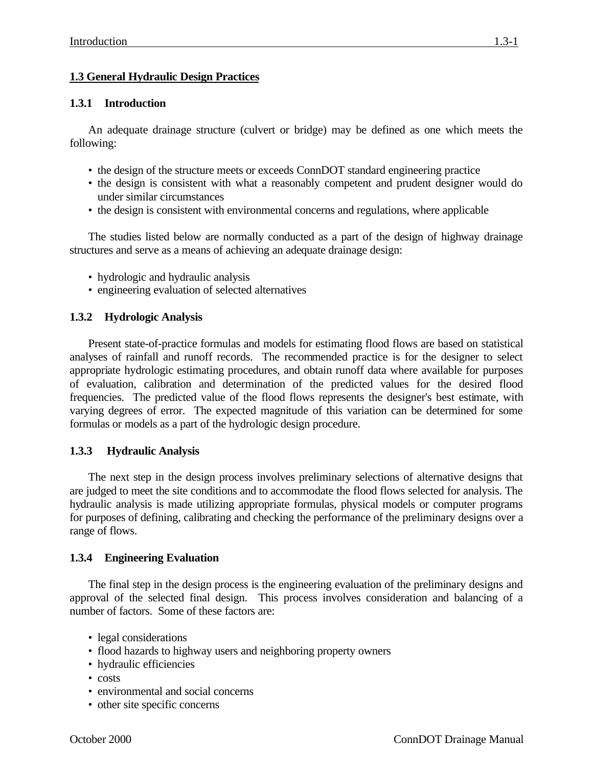# **1.3 General Hydraulic Design Practices**

### **1.3.1 Introduction**

An adequate drainage structure (culvert or bridge) may be defined as one which meets the following:

- the design of the structure meets or exceeds ConnDOT standard engineering practice
- the design is consistent with what a reasonably competent and prudent designer would do under similar circumstances
- the design is consistent with environmental concerns and regulations, where applicable

The studies listed below are normally conducted as a part of the design of highway drainage structures and serve as a means of achieving an adequate drainage design:

- hydrologic and hydraulic analysis
- engineering evaluation of selected alternatives

## **1.3.2 Hydrologic Analysis**

Present state-of-practice formulas and models for estimating flood flows are based on statistical analyses of rainfall and runoff records. The recommended practice is for the designer to select appropriate hydrologic estimating procedures, and obtain runoff data where available for purposes of evaluation, calibration and determination of the predicted values for the desired flood frequencies. The predicted value of the flood flows represents the designer's best estimate, with varying degrees of error. The expected magnitude of this variation can be determined for some formulas or models as a part of the hydrologic design procedure.

#### **1.3.3 Hydraulic Analysis**

The next step in the design process involves preliminary selections of alternative designs that are judged to meet the site conditions and to accommodate the flood flows selected for analysis. The hydraulic analysis is made utilizing appropriate formulas, physical models or computer programs for purposes of defining, calibrating and checking the performance of the preliminary designs over a range of flows.

#### **1.3.4 Engineering Evaluation**

The final step in the design process is the engineering evaluation of the preliminary designs and approval of the selected final design. This process involves consideration and balancing of a number of factors. Some of these factors are:

- legal considerations
- flood hazards to highway users and neighboring property owners
- hydraulic efficiencies
- costs
- environmental and social concerns
- other site specific concerns